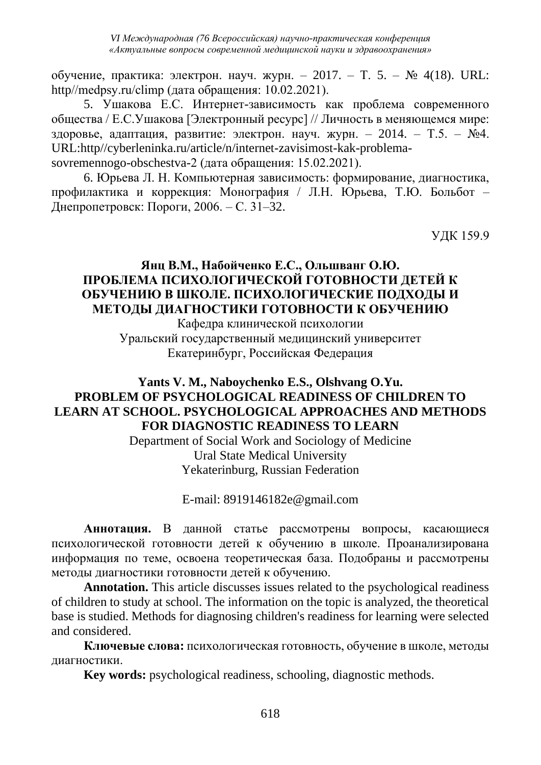обучение, практика: электрон. науч. журн. – 2017. – Т. 5. – № 4(18). URL: http//medpsy.ru/climp (дата обращения: 10.02.2021).

5. Ушакова Е.С. Интернет-зависимость как проблема современного общества / Е.С.Ушакова [Электронный ресурс] // Личность в меняющемся мире: здоровье, адаптация, развитие: электрон. науч. журн. – 2014. – Т.5. –  $N_24$ . URL:http//cyberleninka.ru/article/n/internet-zavisimost-kak-problemasovremennogo-obschestva-2 (дата обращения: 15.02.2021).

6. Юрьева Л. Н. Компьютерная зависимость: формирование, диагностика, профилактика и коррекция: Монография / Л.Н. Юрьева, Т.Ю. Больбот – Днепропетровск: Пороги, 2006. – С. 31–32.

УДК 159.9

## **Янц В.М., Набойченко Е.С., Ольшванг О.Ю. ПРОБЛЕМА ПСИХОЛОГИЧЕСКОЙ ГОТОВНОСТИ ДЕТЕЙ К ОБУЧЕНИЮ В ШКОЛЕ. ПСИХОЛОГИЧЕСКИЕ ПОДХОДЫ И МЕТОДЫ ДИАГНОСТИКИ ГОТОВНОСТИ К ОБУЧЕНИЮ**

Кафедра клинической психологии Уральский государственный медицинский университет Екатеринбург, Российская Федерация

# **Yants V. M., Naboychenko E.S., Olshvang O.Yu. PROBLEM OF PSYCHOLOGICAL READINESS OF CHILDREN TO LEARN AT SCHOOL. PSYCHOLOGICAL APPROACHES AND METHODS FOR DIAGNOSTIC READINESS TO LEARN**

Department of Social Work and Sociology of Medicine Ural State Medical University Yekaterinburg, Russian Federation

E-mail: 8919146182e@gmail.com

**Аннотация.** В данной статье рассмотрены вопросы, касающиеся психологической готовности детей к обучению в школе. Проанализирована информация по теме, освоена теоретическая база. Подобраны и рассмотрены методы диагностики готовности детей к обучению.

**Annotation.** This article discusses issues related to the psychological readiness of children to study at school. The information on the topic is analyzed, the theoretical base is studied. Methods for diagnosing children's readiness for learning were selected and considered.

**Ключевые слова:** психологическая готовность, обучение в школе, методы диагностики.

**Key words:** psychological readiness, schooling, diagnostic methods.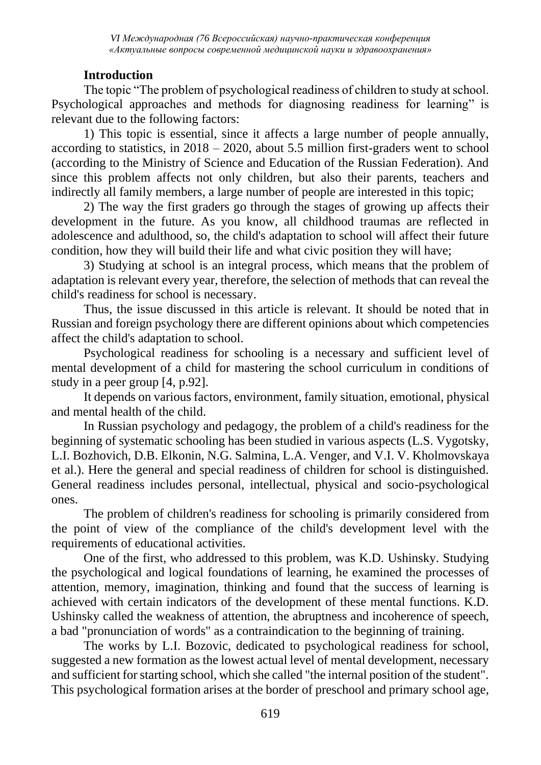### **Introduction**

The topic "The problem of psychological readiness of children to study at school. Psychological approaches and methods for diagnosing readiness for learning" is relevant due to the following factors:

1) This topic is essential, since it affects a large number of people annually, according to statistics, in  $2018 - 2020$ , about 5.5 million first-graders went to school (according to the Ministry of Science and Education of the Russian Federation). And since this problem affects not only children, but also their parents, teachers and indirectly all family members, a large number of people are interested in this topic;

2) The way the first graders go through the stages of growing up affects their development in the future. As you know, all childhood traumas are reflected in adolescence and adulthood, so, the child's adaptation to school will affect their future condition, how they will build their life and what civic position they will have;

3) Studying at school is an integral process, which means that the problem of adaptation is relevant every year, therefore, the selection of methods that can reveal the child's readiness for school is necessary.

Thus, the issue discussed in this article is relevant. It should be noted that in Russian and foreign psychology there are different opinions about which competencies affect the child's adaptation to school.

Psychological readiness for schooling is a necessary and sufficient level of mental development of a child for mastering the school curriculum in conditions of study in a peer group [4, p.92].

It depends on various factors, environment, family situation, emotional, physical and mental health of the child.

In Russian psychology and pedagogy, the problem of a child's readiness for the beginning of systematic schooling has been studied in various aspects (L.S. Vygotsky, L.I. Bozhovich, D.B. Elkonin, N.G. Salmina, L.A. Venger, and V.I. V. Kholmovskaya et al.). Here the general and special readiness of children for school is distinguished. General readiness includes personal, intellectual, physical and socio-psychological ones.

The problem of children's readiness for schooling is primarily considered from the point of view of the compliance of the child's development level with the requirements of educational activities.

One of the first, who addressed to this problem, was K.D. Ushinsky. Studying the psychological and logical foundations of learning, he examined the processes of attention, memory, imagination, thinking and found that the success of learning is achieved with certain indicators of the development of these mental functions. K.D. Ushinsky called the weakness of attention, the abruptness and incoherence of speech, a bad "pronunciation of words" as a contraindication to the beginning of training.

The works by L.I. Bozovic, dedicated to psychological readiness for school, suggested a new formation as the lowest actual level of mental development, necessary and sufficient for starting school, which she called "the internal position of the student". This psychological formation arises at the border of preschool and primary school age,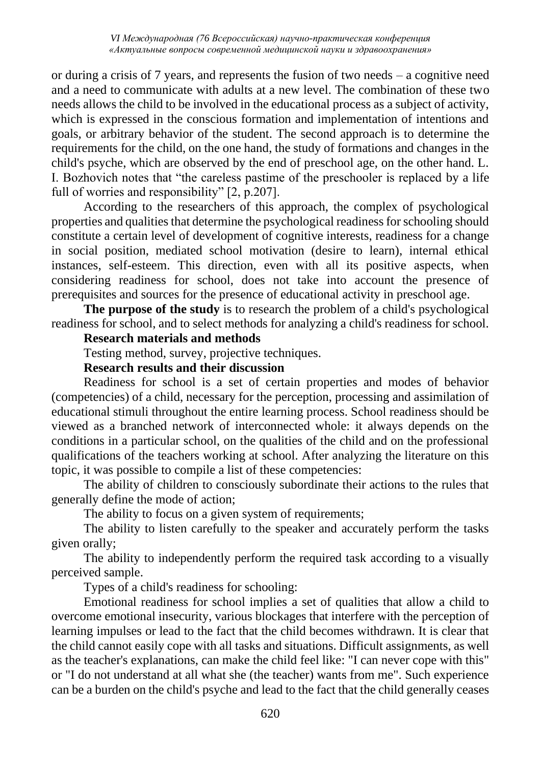or during a crisis of 7 years, and represents the fusion of two needs – a cognitive need and a need to communicate with adults at a new level. The combination of these two needs allows the child to be involved in the educational process as a subject of activity, which is expressed in the conscious formation and implementation of intentions and goals, or arbitrary behavior of the student. The second approach is to determine the requirements for the child, on the one hand, the study of formations and changes in the child's psyche, which are observed by the end of preschool age, on the other hand. L. I. Bozhovich notes that "the careless pastime of the preschooler is replaced by a life full of worries and responsibility" [2, p.207].

According to the researchers of this approach, the complex of psychological properties and qualities that determine the psychological readiness for schooling should constitute a certain level of development of cognitive interests, readiness for a change in social position, mediated school motivation (desire to learn), internal ethical instances, self-esteem. This direction, even with all its positive aspects, when considering readiness for school, does not take into account the presence of prerequisites and sources for the presence of educational activity in preschool age.

**The purpose of the study** is to research the problem of a child's psychological readiness for school, and to select methods for analyzing a child's readiness for school.

#### **Research materials and methods**

Testing method, survey, projective techniques.

#### **Research results and their discussion**

Readiness for school is a set of certain properties and modes of behavior (competencies) of a child, necessary for the perception, processing and assimilation of educational stimuli throughout the entire learning process. School readiness should be viewed as a branched network of interconnected whole: it always depends on the conditions in a particular school, on the qualities of the child and on the professional qualifications of the teachers working at school. After analyzing the literature on this topic, it was possible to compile a list of these competencies:

The ability of children to consciously subordinate their actions to the rules that generally define the mode of action;

The ability to focus on a given system of requirements;

The ability to listen carefully to the speaker and accurately perform the tasks given orally;

The ability to independently perform the required task according to a visually perceived sample.

Types of a child's readiness for schooling:

Emotional readiness for school implies a set of qualities that allow a child to overcome emotional insecurity, various blockages that interfere with the perception of learning impulses or lead to the fact that the child becomes withdrawn. It is clear that the child cannot easily cope with all tasks and situations. Difficult assignments, as well as the teacher's explanations, can make the child feel like: "I can never cope with this" or "I do not understand at all what she (the teacher) wants from me". Such experience can be a burden on the child's psyche and lead to the fact that the child generally ceases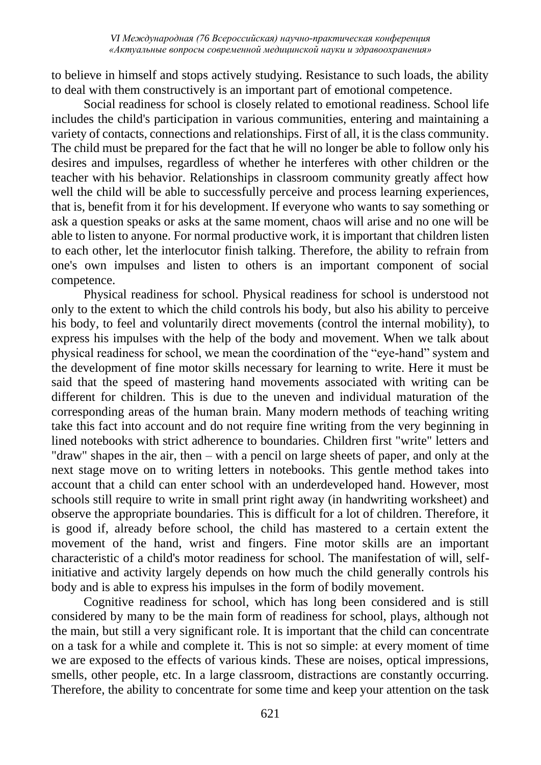to believe in himself and stops actively studying. Resistance to such loads, the ability to deal with them constructively is an important part of emotional competence.

Social readiness for school is closely related to emotional readiness. School life includes the child's participation in various communities, entering and maintaining a variety of contacts, connections and relationships. First of all, it is the class community. The child must be prepared for the fact that he will no longer be able to follow only his desires and impulses, regardless of whether he interferes with other children or the teacher with his behavior. Relationships in classroom community greatly affect how well the child will be able to successfully perceive and process learning experiences, that is, benefit from it for his development. If everyone who wants to say something or ask a question speaks or asks at the same moment, chaos will arise and no one will be able to listen to anyone. For normal productive work, it is important that children listen to each other, let the interlocutor finish talking. Therefore, the ability to refrain from one's own impulses and listen to others is an important component of social competence.

Physical readiness for school. Physical readiness for school is understood not only to the extent to which the child controls his body, but also his ability to perceive his body, to feel and voluntarily direct movements (control the internal mobility), to express his impulses with the help of the body and movement. When we talk about physical readiness for school, we mean the coordination of the "eye-hand" system and the development of fine motor skills necessary for learning to write. Here it must be said that the speed of mastering hand movements associated with writing can be different for children. This is due to the uneven and individual maturation of the corresponding areas of the human brain. Many modern methods of teaching writing take this fact into account and do not require fine writing from the very beginning in lined notebooks with strict adherence to boundaries. Children first "write" letters and "draw" shapes in the air, then – with a pencil on large sheets of paper, and only at the next stage move on to writing letters in notebooks. This gentle method takes into account that a child can enter school with an underdeveloped hand. However, most schools still require to write in small print right away (in handwriting worksheet) and observe the appropriate boundaries. This is difficult for a lot of children. Therefore, it is good if, already before school, the child has mastered to a certain extent the movement of the hand, wrist and fingers. Fine motor skills are an important characteristic of a child's motor readiness for school. The manifestation of will, selfinitiative and activity largely depends on how much the child generally controls his body and is able to express his impulses in the form of bodily movement.

Cognitive readiness for school, which has long been considered and is still considered by many to be the main form of readiness for school, plays, although not the main, but still a very significant role. It is important that the child can concentrate on a task for a while and complete it. This is not so simple: at every moment of time we are exposed to the effects of various kinds. These are noises, optical impressions, smells, other people, etc. In a large classroom, distractions are constantly occurring. Therefore, the ability to concentrate for some time and keep your attention on the task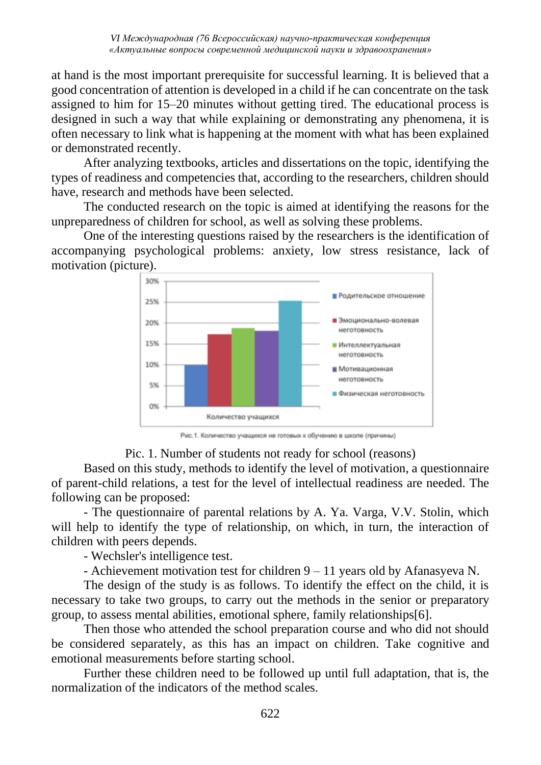at hand is the most important prerequisite for successful learning. It is believed that a good concentration of attention is developed in a child if he can concentrate on the task assigned to him for 15–20 minutes without getting tired. The educational process is designed in such a way that while explaining or demonstrating any phenomena, it is often necessary to link what is happening at the moment with what has been explained or demonstrated recently.

After analyzing textbooks, articles and dissertations on the topic, identifying the types of readiness and competencies that, according to the researchers, children should have, research and methods have been selected.

The conducted research on the topic is aimed at identifying the reasons for the unpreparedness of children for school, as well as solving these problems.

One of the interesting questions raised by the researchers is the identification of accompanying psychological problems: anxiety, low stress resistance, lack of motivation (picture).



Рис.1. Количество учащихся не готовых к обучению в школе (причины)

#### Pic. 1. Number of students not ready for school (reasons)

Based on this study, methods to identify the level of motivation, a questionnaire of parent-child relations, a test for the level of intellectual readiness are needed. The following can be proposed:

- The questionnaire of parental relations by A. Ya. Varga, V.V. Stolin, which will help to identify the type of relationship, on which, in turn, the interaction of children with peers depends.

- Wechsler's intelligence test.

- Achievement motivation test for children 9 – 11 years old by Afanasyeva N.

The design of the study is as follows. To identify the effect on the child, it is necessary to take two groups, to carry out the methods in the senior or preparatory group, to assess mental abilities, emotional sphere, family relationships[6].

Then those who attended the school preparation course and who did not should be considered separately, as this has an impact on children. Take cognitive and emotional measurements before starting school.

Further these children need to be followed up until full adaptation, that is, the normalization of the indicators of the method scales.